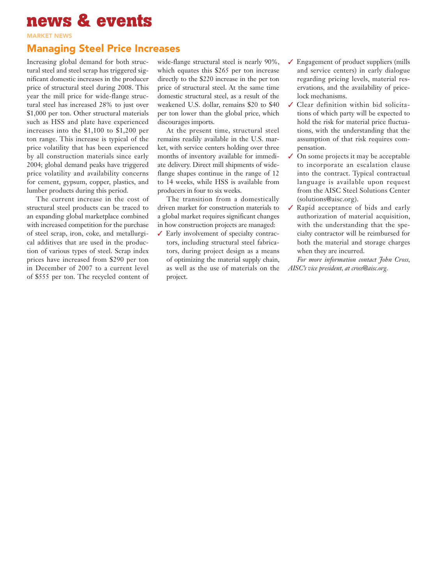## **news & events**

market news

## Managing Steel Price Increases

Increasing global demand for both structural steel and steel scrap has triggered significant domestic increases in the producer price of structural steel during 2008. This year the mill price for wide-flange structural steel has increased 28% to just over \$1,000 per ton. Other structural materials such as HSS and plate have experienced increases into the \$1,100 to \$1,200 per ton range. This increase is typical of the price volatility that has been experienced by all construction materials since early 2004; global demand peaks have triggered price volatility and availability concerns for cement, gypsum, copper, plastics, and lumber products during this period.

The current increase in the cost of structural steel products can be traced to an expanding global marketplace combined with increased competition for the purchase of steel scrap, iron, coke, and metallurgical additives that are used in the production of various types of steel. Scrap index prices have increased from \$290 per ton in December of 2007 to a current level of \$555 per ton. The recycled content of wide-flange structural steel is nearly 90%, which equates this \$265 per ton increase directly to the \$220 increase in the per ton price of structural steel. At the same time domestic structural steel, as a result of the weakened U.S. dollar, remains \$20 to \$40 per ton lower than the global price, which discourages imports.

At the present time, structural steel remains readily available in the U.S. market, with service centers holding over three months of inventory available for immediate delivery. Direct mill shipments of wideflange shapes continue in the range of 12 to 14 weeks, while HSS is available from producers in four to six weeks.

The transition from a domestically driven market for construction materials to a global market requires significant changes in how construction projects are managed:

✓ Early involvement of specialty contractors, including structural steel fabricators, during project design as a means of optimizing the material supply chain, as well as the use of materials on the project.

- $\angle$  Engagement of product suppliers (mills and service centers) in early dialogue regarding pricing levels, material reservations, and the availability of pricelock mechanisms.
- ✓ Clear definition within bid solicitations of which party will be expected to hold the risk for material price fluctuations, with the understanding that the assumption of that risk requires compensation.
- $\checkmark$  On some projects it may be acceptable to incorporate an escalation clause into the contract. Typical contractual language is available upon request from the AISC Steel Solutions Center (solutions@aisc.org).
- ✓ Rapid acceptance of bids and early authorization of material acquisition, with the understanding that the specialty contractor will be reimbursed for both the material and storage charges when they are incurred.

*For more information contact John Cross, AISC's vice president, at cross@aisc.org.*